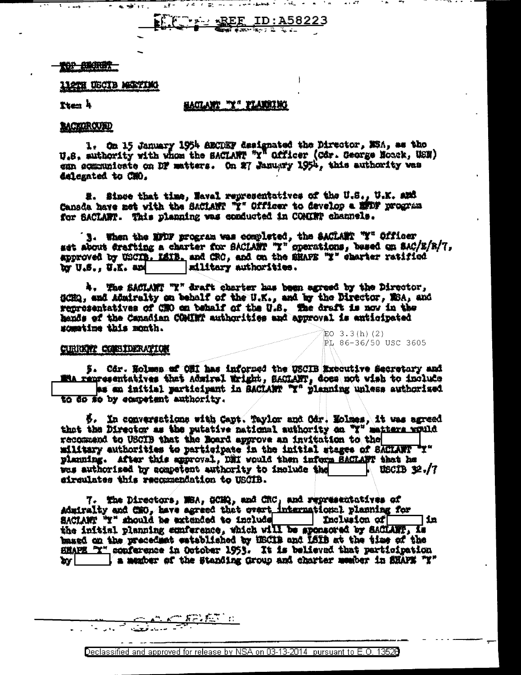$\frac{1}{2}$   $\frac{REF}{2}$  ID: A58223

## **KOP ENCRETT**

# **LIGTH USCID MEETIMG**

 $\sim$   $\sim$   $\sim$ 

医罗二

Tten 4

## <u>saglant "Y" flanning</u>

## **BACKGROUND**

1. On 15 January 1954 AECDEF designated the Director, MSA, as the U.S. authority with whom the SACIART "Y" Officer (Cdr. Ceorge Noock, USN) can acamunicate on DF matters. On 27 January 1954, this authority was delegated to CMO.

#. Since that time, Naval representatives of the U.S., U.K. and Canada have met with the SACLANT "I" Officer to develop a minf program for SACLARY. This planning was conducted in COMIRT channels.

3. When the MODF program was completed, the SACLARY "Y" Officer set about drafting a charter for SACLART "Y" operations, besed on SAC/E/R/7, approved by USCIB. LAIB. and CRC, and on the SHAFE "I" charter ratified by U.S., U.K. and | military authorities.

4. The SACLANT "Y" draft charter has been agreed by the Director, SCHQ, and Admiralty on behalf of the U.K., and by the Director, MSA, and reprosentatives of CNO on behalf of the U.S. The draft is now in the heads of the Canadian COMINT authorities and approval is anticipated sometime this month.  $EO$  3.3(h)(2)

#### CURRENT CONSTIERATION

5. Cdr. Rolmen of OHI has informed the USCIB Executive Secretary and Ma renresentatives that Admiral Wright, SACLANT, does not wish to include as an initial participant in BACLART "X" planning unless authorised to do so by ecompetent authority.

PL 86-36/50 USC 3605

 $\beta$ . In conversations with Capt. Taylor and Odr. Holmes, it was agreed that the Director as the putative national authority on  $\mathbb{Y}^T$  matters would recommend to USCIB that the Board approve an invitation to the military authorities to participate in the initial stages of SACIANT "Y" planning. After this approval, DMI would then inform SACLANT that he was authorized by acapetent authority to include the  $10013 \, 32.77$ airculates this recommendation to USCIB.

7. The Directors, MSA, GCMQ, and CRC, and representatives of Admiralty and CHO, have agreed that overt international planning for SACIANT "I" should be extended to include Inclusion of in the initial planning conference, which will be aponsored by SACIANT, is based on the precedent established by HECIB and ISIB at the time of the HMAPE "Y" conference in October 1953. It is believed that participation by | a member of the Standing Group and charter wember in SHAPE "Y"

Declassified and approved for release by NSA on 03-13-2014 pursuant to E.O. 13520

<u>AAARASTII</u>